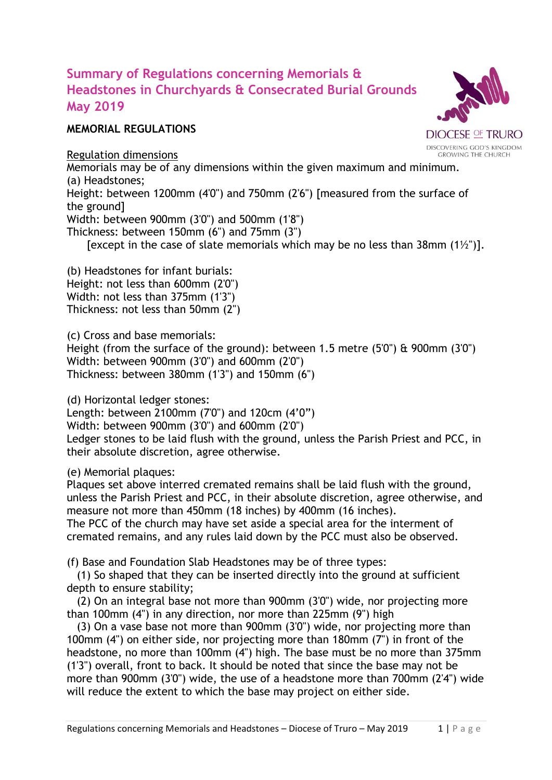## **Summary of Regulations concerning Memorials & Headstones in Churchyards & Consecrated Burial Grounds May 2019**

## **MEMORIAL REGULATIONS**

Regulation dimensions

Memorials may be of any dimensions within the given maximum and minimum. (a) Headstones;

Height: between 1200mm (4'0") and 750mm (2'6") [measured from the surface of the ground]

Width: between 900mm (3'0") and 500mm (1'8")

Thickness: between 150mm (6") and 75mm (3")

[except in the case of slate memorials which may be no less than 38mm  $(1\frac{1}{2})$ ].

(b) Headstones for infant burials: Height: not less than 600mm (2'0") Width: not less than 375mm (1'3") Thickness: not less than 50mm (2")

(c) Cross and base memorials:

Height (from the surface of the ground): between 1.5 metre (5'0") & 900mm (3'0") Width: between 900mm (3'0") and 600mm (2'0") Thickness: between 380mm (1'3") and 150mm (6")

(d) Horizontal ledger stones:

Length: between 2100mm (7'0") and 120cm (4'0")

Width: between 900mm (3'0") and 600mm (2'0")

Ledger stones to be laid flush with the ground, unless the Parish Priest and PCC, in their absolute discretion, agree otherwise.

(e) Memorial plaques:

Plaques set above interred cremated remains shall be laid flush with the ground, unless the Parish Priest and PCC, in their absolute discretion, agree otherwise, and measure not more than 450mm (18 inches) by 400mm (16 inches).

The PCC of the church may have set aside a special area for the interment of cremated remains, and any rules laid down by the PCC must also be observed.

(f) Base and Foundation Slab Headstones may be of three types:

(1) So shaped that they can be inserted directly into the ground at sufficient depth to ensure stability;

(2) On an integral base not more than 900mm (3'0") wide, nor projecting more than 100mm (4") in any direction, nor more than 225mm (9") high

(3) On a vase base not more than 900mm (3'0") wide, nor projecting more than 100mm (4") on either side, nor projecting more than 180mm (7") in front of the headstone, no more than 100mm (4") high. The base must be no more than 375mm (1'3") overall, front to back. It should be noted that since the base may not be more than 900mm (3'0") wide, the use of a headstone more than 700mm (2'4") wide will reduce the extent to which the base may project on either side.



**GROWING THE CHURCH**